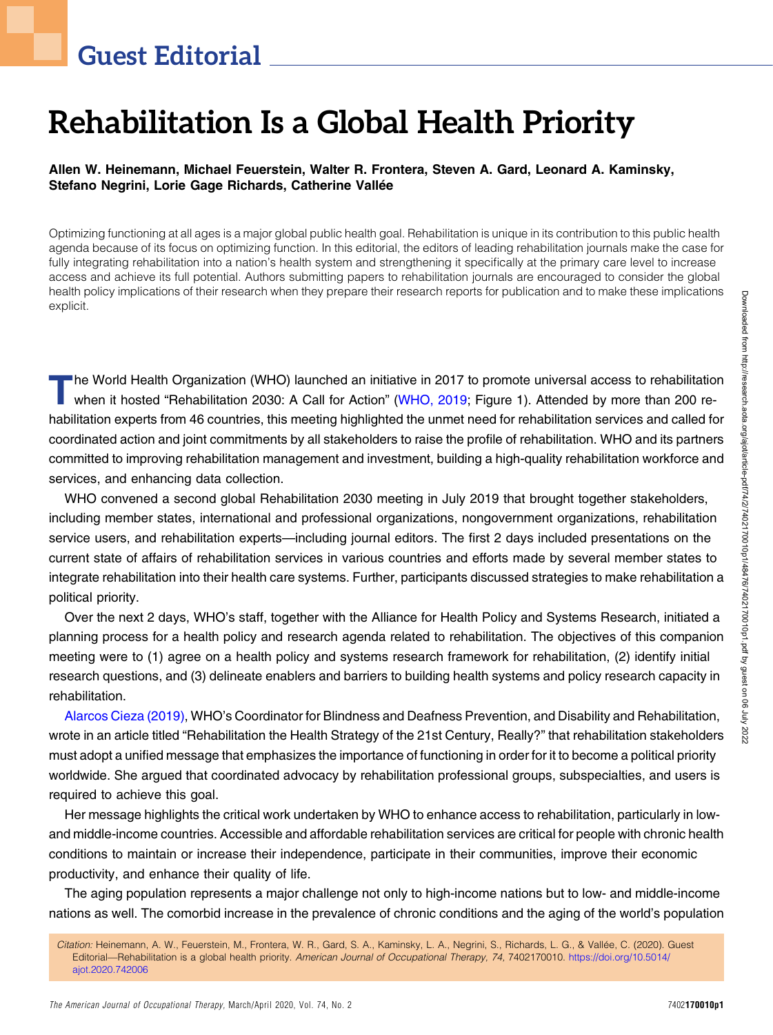## Guest Editorial

# Rehabilitation Is a Global Health Priority

#### Allen W. Heinemann, Michael Feuerstein, Walter R. Frontera, Steven A. Gard, Leonard A. Kaminsky, Stefano Negrini, Lorie Gage Richards, Catherine Vallée

Optimizing functioning at all ages is a major global public health goal. Rehabilitation is unique in its contribution to this public health agenda because of its focus on optimizing function. In this editorial, the editors of leading rehabilitation journals make the case for fully integrating rehabilitation into a nation's health system and strengthening it specifically at the primary care level to increase access and achieve its full potential. Authors submitting papers to rehabilitation journals are encouraged to consider the global health policy implications of their research when they prepare their research reports for publication and to make these implications explicit.

The World Health Organization (WHO) launched an initiative in 2017 to promote universal access to rehabilitation<br>when it hosted "Rehabilitation 2030: A Call for Action" [\(WHO, 2019;](#page-1-0) Figure 1). Attended by more than 200 rehabilitation experts from 46 countries, this meeting highlighted the unmet need for rehabilitation services and called for coordinated action and joint commitments by all stakeholders to raise the profile of rehabilitation. WHO and its partners committed to improving rehabilitation management and investment, building a high-quality rehabilitation workforce and services, and enhancing data collection.

WHO convened a second global Rehabilitation 2030 meeting in July 2019 that brought together stakeholders, including member states, international and professional organizations, nongovernment organizations, rehabilitation service users, and rehabilitation experts—including journal editors. The first 2 days included presentations on the current state of affairs of rehabilitation services in various countries and efforts made by several member states to integrate rehabilitation into their health care systems. Further, participants discussed strategies to make rehabilitation a political priority.

Over the next 2 days, WHO's staff, together with the Alliance for Health Policy and Systems Research, initiated a planning process for a health policy and research agenda related to rehabilitation. The objectives of this companion meeting were to (1) agree on a health policy and systems research framework for rehabilitation, (2) identify initial research questions, and (3) delineate enablers and barriers to building health systems and policy research capacity in rehabilitation.

[Alarcos Cieza \(2019\),](#page-1-1) WHO's Coordinator for Blindness and Deafness Prevention, and Disability and Rehabilitation, wrote in an article titled "Rehabilitation the Health Strategy of the 21st Century, Really?" that rehabilitation stakeholders must adopt a unified message that emphasizes the importance of functioning in order for it to become a political priority worldwide. She argued that coordinated advocacy by rehabilitation professional groups, subspecialties, and users is required to achieve this goal.

Her message highlights the critical work undertaken by WHO to enhance access to rehabilitation, particularly in lowand middle-income countries. Accessible and affordable rehabilitation services are critical for people with chronic health conditions to maintain or increase their independence, participate in their communities, improve their economic productivity, and enhance their quality of life.

The aging population represents a major challenge not only to high-income nations but to low- and middle-income nations as well. The comorbid increase in the prevalence of chronic conditions and the aging of the world's population

Citation: Heinemann, A. W., Feuerstein, M., Frontera, W. R., Gard, S. A., Kaminsky, L. A., Negrini, S., Richards, L. G., & Vallée, C. (2020). Guest Editorial—Rehabilitation is a global health priority. American Journal of Occupational Therapy, 74, 7402170010. [https://doi.org/10.5014/](https://doi.org/10.5014/ajot.2020.742006) [ajot.2020.742006](https://doi.org/10.5014/ajot.2020.742006)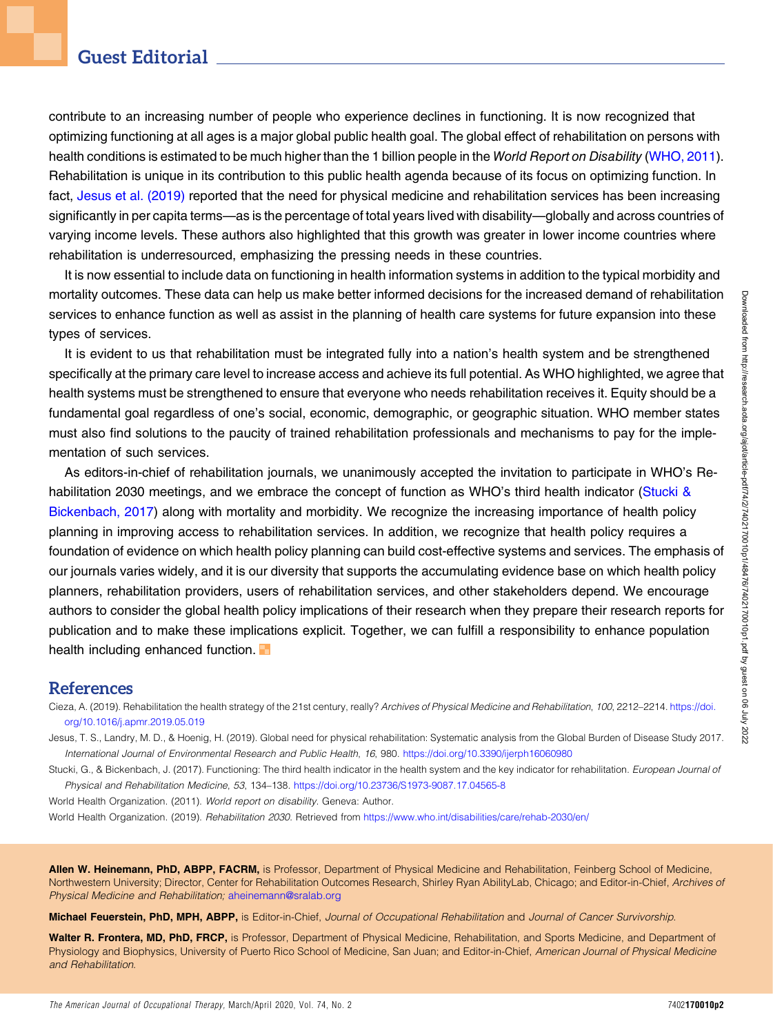contribute to an increasing number of people who experience declines in functioning. It is now recognized that optimizing functioning at all ages is a major global public health goal. The global effect of rehabilitation on persons with health conditions is estimated to be much higher than the 1 billion people in the World Report on Disability [\(WHO, 2011](#page-1-2)). Rehabilitation is unique in its contribution to this public health agenda because of its focus on optimizing function. In fact, [Jesus et al. \(2019\)](#page-1-3) reported that the need for physical medicine and rehabilitation services has been increasing significantly in per capita terms—as is the percentage of total years lived with disability—globally and across countries of varying income levels. These authors also highlighted that this growth was greater in lower income countries where rehabilitation is underresourced, emphasizing the pressing needs in these countries.

It is now essential to include data on functioning in health information systems in addition to the typical morbidity and mortality outcomes. These data can help us make better informed decisions for the increased demand of rehabilitation services to enhance function as well as assist in the planning of health care systems for future expansion into these types of services.

It is evident to us that rehabilitation must be integrated fully into a nation's health system and be strengthened specifically at the primary care level to increase access and achieve its full potential. As WHO highlighted, we agree that health systems must be strengthened to ensure that everyone who needs rehabilitation receives it. Equity should be a fundamental goal regardless of one's social, economic, demographic, or geographic situation. WHO member states must also find solutions to the paucity of trained rehabilitation professionals and mechanisms to pay for the implementation of such services.

As editors-in-chief of rehabilitation journals, we unanimously accepted the invitation to participate in WHO's Re-habilitation 2030 meetings, and we embrace the concept of function as WHO's third health indicator [\(Stucki &](#page-1-4) [Bickenbach, 2017](#page-1-4)) along with mortality and morbidity. We recognize the increasing importance of health policy planning in improving access to rehabilitation services. In addition, we recognize that health policy requires a foundation of evidence on which health policy planning can build cost-effective systems and services. The emphasis of our journals varies widely, and it is our diversity that supports the accumulating evidence base on which health policy planners, rehabilitation providers, users of rehabilitation services, and other stakeholders depend. We encourage authors to consider the global health policy implications of their research when they prepare their research reports for publication and to make these implications explicit. Together, we can fulfill a responsibility to enhance population health including enhanced function.

### References

<span id="page-1-1"></span>Cieza, A. (2019). Rehabilitation the health strategy of the 21st century, really? Archives of Physical Medicine and Rehabilitation, 100, 2212–2214. [https://doi.](https://doi.org/10.1016/j.apmr.2019.05.019) [org/10.1016/j.apmr.2019.05.019](https://doi.org/10.1016/j.apmr.2019.05.019)

<span id="page-1-3"></span>Jesus, T. S., Landry, M. D., & Hoenig, H. (2019). Global need for physical rehabilitation: Systematic analysis from the Global Burden of Disease Study 2017. International Journal of Environmental Research and Public Health, 16, 980. <https://doi.org/10.3390/ijerph16060980>

<span id="page-1-4"></span>Stucki, G., & Bickenbach, J. (2017). Functioning: The third health indicator in the health system and the key indicator for rehabilitation. European Journal of Physical and Rehabilitation Medicine, 53, 134–138. <https://doi.org/10.23736/S1973-9087.17.04565-8>

<span id="page-1-2"></span>World Health Organization. (2011). World report on disability. Geneva: Author.

<span id="page-1-0"></span>World Health Organization. (2019). Rehabilitation 2030. Retrieved from <https://www.who.int/disabilities/care/rehab-2030/en/>

Allen W. Heinemann, PhD, ABPP, FACRM, is Professor, Department of Physical Medicine and Rehabilitation, Feinberg School of Medicine, Northwestern University; Director, Center for Rehabilitation Outcomes Research, Shirley Ryan AbilityLab, Chicago; and Editor-in-Chief, Archives of Physical Medicine and Rehabilitation; [aheinemann@sralab.org](mailto:aheinemann@sralab.org)

Michael Feuerstein, PhD, MPH, ABPP, is Editor-in-Chief, Journal of Occupational Rehabilitation and Journal of Cancer Survivorship.

Walter R. Frontera, MD, PhD, FRCP, is Professor, Department of Physical Medicine, Rehabilitation, and Sports Medicine, and Department of Physiology and Biophysics, University of Puerto Rico School of Medicine, San Juan; and Editor-in-Chief, American Journal of Physical Medicine and Rehabilitation.